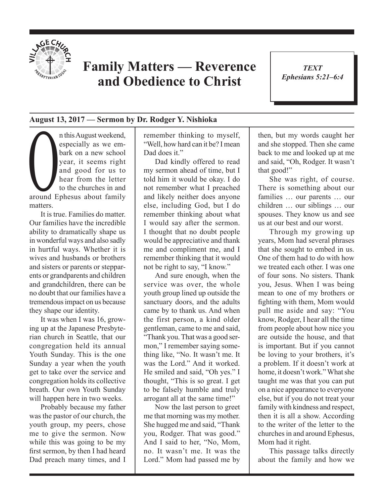

## **Family Matters — Reverence and Obedience to Christ**

*TEXT Ephesians 5:21–6:4* 1

## **August 13, 2017 — Sermon by Dr. Rodger Y. Nishioka**

n this August weekend,<br>especially as we embark on a new school<br>year, it seems right<br>and good for us to<br>hear from the letter<br>to the churches in and<br>around Enhesus about family especially as we embark on a new school year, it seems right and good for us to hear from the letter to the churches in and around Ephesus about family matters.

It is true. Families do matter. Our families have the incredible ability to dramatically shape us in wonderful ways and also sadly in hurtful ways. Whether it is wives and husbands or brothers and sisters or parents or stepparents or grandparents and children and grandchildren, there can be no doubt that our families have a tremendous impact on us because they shape our identity.

It was when I was 16, growing up at the Japanese Presbyterian church in Seattle, that our congregation held its annual Youth Sunday. This is the one Sunday a year when the youth get to take over the service and congregation holds its collective breath. Our own Youth Sunday will happen here in two weeks.

Probably because my father was the pastor of our church, the youth group, my peers, chose me to give the sermon. Now while this was going to be my frst sermon, by then I had heard Dad preach many times, and I

remember thinking to myself, "Well, how hard can it be? I mean Dad does it."

Dad kindly offered to read my sermon ahead of time, but I told him it would be okay. I do not remember what I preached and likely neither does anyone else, including God, but I do remember thinking about what I would say after the sermon. I thought that no doubt people would be appreciative and thank me and compliment me, and I remember thinking that it would not be right to say, "I know."

And sure enough, when the service was over, the whole youth group lined up outside the sanctuary doors, and the adults came by to thank us. And when the first person, a kind older gentleman, came to me and said, "Thank you. That was a good sermon," I remember saying something like, "No. It wasn't me. It was the Lord." And it worked. He smiled and said, "Oh yes." I thought, "This is so great. I get to be falsely humble and truly arrogant all at the same time!"

Now the last person to greet me that morning was my mother. She hugged me and said, "Thank you, Rodger. That was good." And I said to her, "No, Mom, no. It wasn't me. It was the Lord." Mom had passed me by then, but my words caught her and she stopped. Then she came back to me and looked up at me and said, "Oh, Rodger. It wasn't that good!"

She was right, of course. There is something about our families … our parents … our children … our siblings … our spouses. They know us and see us at our best and our worst.

Through my growing up years, Mom had several phrases that she sought to embed in us. One of them had to do with how we treated each other. I was one of four sons. No sisters. Thank you, Jesus. When I was being mean to one of my brothers or fghting with them, Mom would pull me aside and say: "You know, Rodger, I hear all the time from people about how nice you are outside the house, and that is important. But if you cannot be loving to your brothers, it's a problem. If it doesn't work at home, it doesn't work." What she taught me was that you can put on a nice appearance to everyone else, but if you do not treat your family with kindness and respect, then it is all a show. According to the writer of the letter to the churches in and around Ephesus, Mom had it right.

This passage talks directly about the family and how we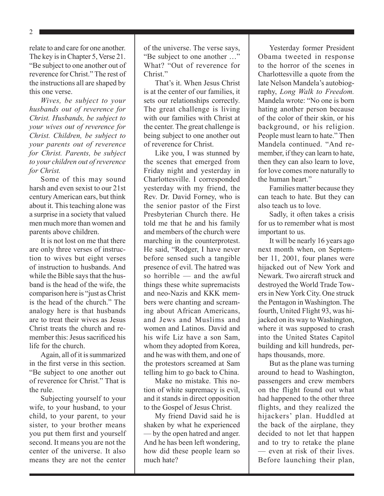2

relate to and care for one another. The key is in Chapter 5, Verse 21. "Be subject to one another out of reverence for Christ." The rest of the instructions all are shaped by this one verse.

*Wives, be subject to your husbands out of reverence for Christ. Husbands, be subject to your wives out of reverence for Christ. Children, be subject to your parents out of reverence for Christ. Parents, be subject to your children out of reverence for Christ.* 

Some of this may sound harsh and even sexist to our 21st century American ears, but think about it. This teaching alone was a surprise in a society that valued men much more than women and parents above children.

It is not lost on me that there are only three verses of instruction to wives but eight verses of instruction to husbands. And while the Bible says that the husband is the head of the wife, the comparison here is "just as Christ is the head of the church." The analogy here is that husbands are to treat their wives as Jesus Christ treats the church and remember this: Jesus sacrifced his life for the church.

Again, all of it is summarized in the frst verse in this section. "Be subject to one another out of reverence for Christ." That is the rule.

Subjecting yourself to your wife, to your husband, to your child, to your parent, to your sister, to your brother means you put them frst and yourself second. It means you are not the center of the universe. It also means they are not the center

of the universe. The verse says, "Be subject to one another …" What? "Out of reverence for Christ<sup>"</sup>

That's it. When Jesus Christ is at the center of our families, it sets our relationships correctly. The great challenge is living with our families with Christ at the center. The great challenge is being subject to one another out of reverence for Christ.

Like you, I was stunned by the scenes that emerged from Friday night and yesterday in Charlottesville. I corresponded yesterday with my friend, the Rev. Dr. David Forney, who is the senior pastor of the First Presbyterian Church there. He told me that he and his family and members of the church were marching in the counterprotest. He said, "Rodger, I have never before sensed such a tangible presence of evil. The hatred was so horrible — and the awful things these white supremacists and neo-Nazis and KKK members were chanting and screaming about African Americans, and Jews and Muslims and women and Latinos. David and his wife Liz have a son Sam, whom they adopted from Korea, and he was with them, and one of the protestors screamed at Sam telling him to go back to China.

Make no mistake. This notion of white supremacy is evil, and it stands in direct opposition to the Gospel of Jesus Christ.

My friend David said he is shaken by what he experienced — by the open hatred and anger. And he has been left wondering, how did these people learn so much hate?

Yesterday former President Obama tweeted in response to the horror of the scenes in Charlottesville a quote from the late Nelson Mandela's autobiography, *Long Walk to Freedom.*  Mandela wrote: "No one is born hating another person because of the color of their skin, or his background, or his religion. People must learn to hate." Then Mandela continued. "And remember, if they can learn to hate, then they can also learn to love, for love comes more naturally to the human heart."

Families matter because they can teach to hate. But they can also teach us to love.

Sadly, it often takes a crisis for us to remember what is most important to us.

It will be nearly 16 years ago next month when, on September 11, 2001, four planes were hijacked out of New York and Newark. Two aircraft struck and destroyed the World Trade Towers in New York City. One struck the Pentagon in Washington. The fourth, United Flight 93, was hijacked on its way to Washington, where it was supposed to crash into the United States Capitol building and kill hundreds, perhaps thousands, more.

But as the plane was turning around to head to Washington, passengers and crew members on the flight found out what had happened to the other three flights, and they realized the hijackers' plan. Huddled at the back of the airplane, they decided to not let that happen and to try to retake the plane — even at risk of their lives. Before launching their plan,